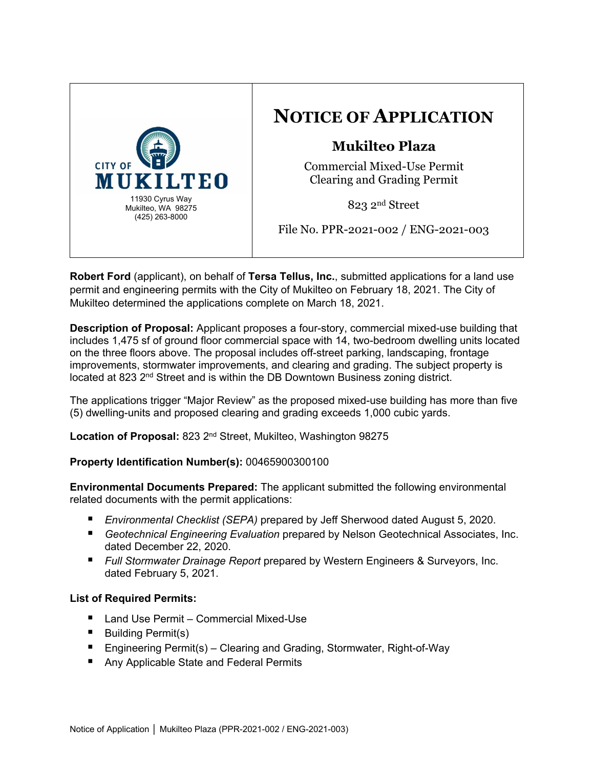

# **NOTICE OF APPLICATION**

# **Mukilteo Plaza**

Commercial Mixed-Use Permit Clearing and Grading Permit

823 2nd Street

File No. PPR-2021-002 / ENG-2021-003

**Robert Ford** (applicant), on behalf of **Tersa Tellus, Inc.**, submitted applications for a land use permit and engineering permits with the City of Mukilteo on February 18, 2021. The City of Mukilteo determined the applications complete on March 18, 2021.

**Description of Proposal:** Applicant proposes a four-story, commercial mixed-use building that includes 1,475 sf of ground floor commercial space with 14, two-bedroom dwelling units located on the three floors above. The proposal includes off-street parking, landscaping, frontage improvements, stormwater improvements, and clearing and grading. The subject property is located at 823  $2<sup>nd</sup>$  Street and is within the DB Downtown Business zoning district.

The applications trigger "Major Review" as the proposed mixed-use building has more than five (5) dwelling-units and proposed clearing and grading exceeds 1,000 cubic yards.

**Location of Proposal:** 823 2nd Street, Mukilteo, Washington 98275

# **Property Identification Number(s):** 00465900300100

**Environmental Documents Prepared:** The applicant submitted the following environmental related documents with the permit applications:

- *Environmental Checklist (SEPA)* prepared by Jeff Sherwood dated August 5, 2020.
- *Geotechnical Engineering Evaluation* prepared by Nelson Geotechnical Associates, Inc. dated December 22, 2020.
- *Full Stormwater Drainage Report* prepared by Western Engineers & Surveyors, Inc. dated February 5, 2021.

# **List of Required Permits:**

- Land Use Permit Commercial Mixed-Use
- Building Permit(s)
- Engineering Permit(s) Clearing and Grading, Stormwater, Right-of-Way
- Any Applicable State and Federal Permits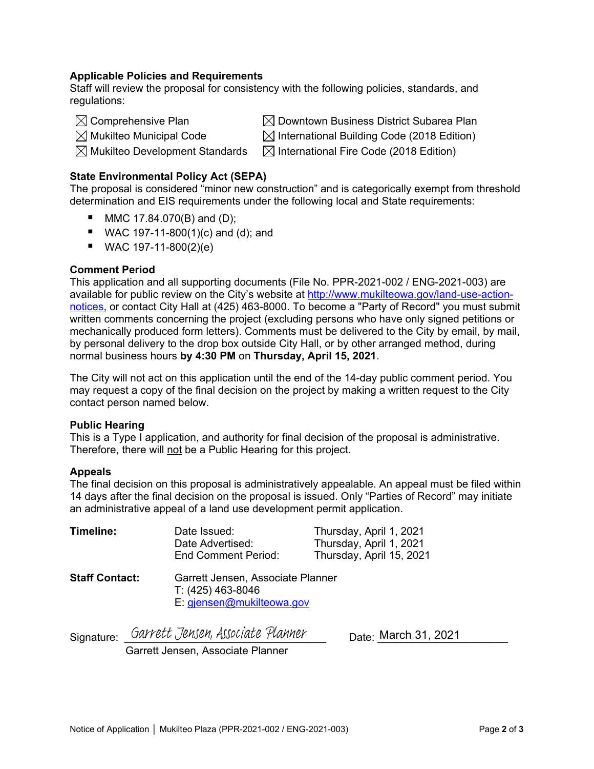#### **Applicable Policies and Requirements**

Staff will review the proposal for consistency with the following policies, standards, and regulations:

 $\boxtimes$  Comprehensive Plan  $\boxtimes$  Downtown Business District Subarea Plan

 $\boxtimes$  Mukilteo Municipal Code  $\boxtimes$  International Building Code (2018 Edition)

 $\boxtimes$  Mukilteo Development Standards  $\mod$   $\boxtimes$  International Fire Code (2018 Edition)

### **State Environmental Policy Act (SEPA)**

The proposal is considered "minor new construction" and is categorically exempt from threshold determination and EIS requirements under the following local and State requirements:

- $MMC 17.84.070(B)$  and (D);
- WAC 197-11-800(1)(c) and (d); and
- $WAC 197-11-800(2)(e)$

#### **Comment Period**

This application and all supporting documents (File No. PPR-2021-002 / ENG-2021-003) are available for public review on the City's website at [http://www.mukilteowa.gov/land-use-action](http://www.mukilteowa.gov/land-use-action-notices)[notices,](http://www.mukilteowa.gov/land-use-action-notices) or contact City Hall at (425) 463-8000. To become a "Party of Record" you must submit written comments concerning the project (excluding persons who have only signed petitions or mechanically produced form letters). Comments must be delivered to the City by email, by mail, by personal delivery to the drop box outside City Hall, or by other arranged method, during normal business hours **by 4:30 PM** on **Thursday, April 15, 2021**.

The City will not act on this application until the end of the 14-day public comment period. You may request a copy of the final decision on the project by making a written request to the City contact person named below.

#### **Public Hearing**

This is a Type I application, and authority for final decision of the proposal is administrative. Therefore, there will not be a Public Hearing for this project.

#### **Appeals**

The final decision on this proposal is administratively appealable. An appeal must be filed within 14 days after the final decision on the proposal is issued. Only "Parties of Record" may initiate an administrative appeal of a land use development permit application.

| Timeline:             | Date Issued:<br>Date Advertised:<br><b>End Comment Period:</b>                      | Thursday, April 1, 2021<br>Thursday, April 1, 2021<br>Thursday, April 15, 2021 |
|-----------------------|-------------------------------------------------------------------------------------|--------------------------------------------------------------------------------|
| <b>Staff Contact:</b> | Garrett Jensen, Associate Planner<br>T: (425) 463-8046<br>E: giensen@mukilteowa.gov |                                                                                |

Signature: Garrett Jensen, Associate Planner

 $Date:$  March 31, 2021

Garrett Jensen, Associate Planner